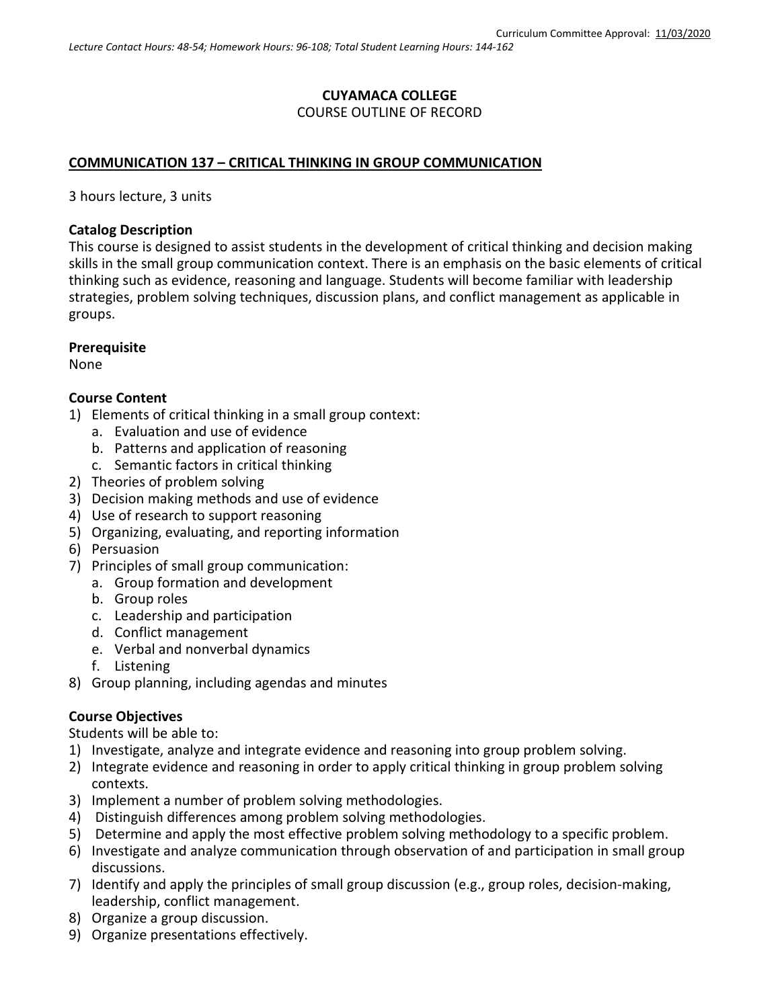### **CUYAMACA COLLEGE** COURSE OUTLINE OF RECORD

### **COMMUNICATION 137 – CRITICAL THINKING IN GROUP COMMUNICATION**

3 hours lecture, 3 units

#### **Catalog Description**

This course is designed to assist students in the development of critical thinking and decision making skills in the small group communication context. There is an emphasis on the basic elements of critical thinking such as evidence, reasoning and language. Students will become familiar with leadership strategies, problem solving techniques, discussion plans, and conflict management as applicable in groups.

#### **Prerequisite**

None

#### **Course Content**

- 1) Elements of critical thinking in a small group context:
	- a. Evaluation and use of evidence
	- b. Patterns and application of reasoning
	- c. Semantic factors in critical thinking
- 2) Theories of problem solving
- 3) Decision making methods and use of evidence
- 4) Use of research to support reasoning
- 5) Organizing, evaluating, and reporting information
- 6) Persuasion
- 7) Principles of small group communication:
	- a. Group formation and development
	- b. Group roles
	- c. Leadership and participation
	- d. Conflict management
	- e. Verbal and nonverbal dynamics
	- f. Listening
- 8) Group planning, including agendas and minutes

# **Course Objectives**

Students will be able to:

- 1) Investigate, analyze and integrate evidence and reasoning into group problem solving.
- 2) Integrate evidence and reasoning in order to apply critical thinking in group problem solving contexts.
- 3) Implement a number of problem solving methodologies.
- 4) Distinguish differences among problem solving methodologies.
- 5) Determine and apply the most effective problem solving methodology to a specific problem.
- 6) Investigate and analyze communication through observation of and participation in small group discussions.
- 7) Identify and apply the principles of small group discussion (e.g., group roles, decision-making, leadership, conflict management.
- 8) Organize a group discussion.
- 9) Organize presentations effectively.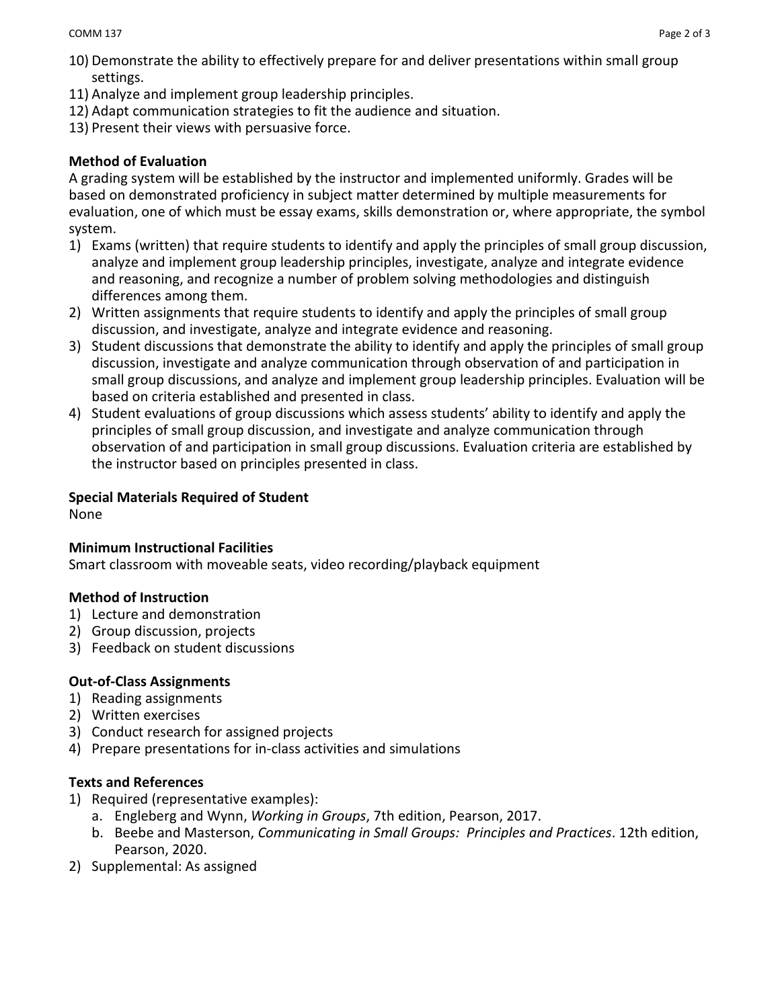- 10) Demonstrate the ability to effectively prepare for and deliver presentations within small group settings.
- 11) Analyze and implement group leadership principles.
- 12) Adapt communication strategies to fit the audience and situation.
- 13) Present their views with persuasive force.

## **Method of Evaluation**

A grading system will be established by the instructor and implemented uniformly. Grades will be based on demonstrated proficiency in subject matter determined by multiple measurements for evaluation, one of which must be essay exams, skills demonstration or, where appropriate, the symbol system.

- 1) Exams (written) that require students to identify and apply the principles of small group discussion, analyze and implement group leadership principles, investigate, analyze and integrate evidence and reasoning, and recognize a number of problem solving methodologies and distinguish differences among them.
- 2) Written assignments that require students to identify and apply the principles of small group discussion, and investigate, analyze and integrate evidence and reasoning.
- 3) Student discussions that demonstrate the ability to identify and apply the principles of small group discussion, investigate and analyze communication through observation of and participation in small group discussions, and analyze and implement group leadership principles. Evaluation will be based on criteria established and presented in class.
- 4) Student evaluations of group discussions which assess students' ability to identify and apply the principles of small group discussion, and investigate and analyze communication through observation of and participation in small group discussions. Evaluation criteria are established by the instructor based on principles presented in class.

### **Special Materials Required of Student**

None

### **Minimum Instructional Facilities**

Smart classroom with moveable seats, video recording/playback equipment

### **Method of Instruction**

- 1) Lecture and demonstration
- 2) Group discussion, projects
- 3) Feedback on student discussions

### **Out-of-Class Assignments**

- 1) Reading assignments
- 2) Written exercises
- 3) Conduct research for assigned projects
- 4) Prepare presentations for in-class activities and simulations

#### **Texts and References**

- 1) Required (representative examples):
	- a. Engleberg and Wynn, *Working in Groups*, 7th edition, Pearson, 2017.
	- b. Beebe and Masterson, *Communicating in Small Groups: Principles and Practices*. 12th edition, Pearson, 2020.
- 2) Supplemental: As assigned